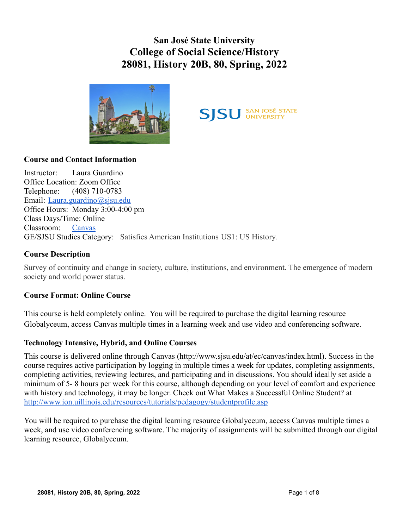**San José State University College of Social Science/History 28081, History 20B, 80, Spring, 2022**





# **Course and Contact Information**

Instructor: Laura Guardino Office Location: Zoom Office Telephone: (408) 710-0783 Email: [Laura.guardino@sjsu.edu](mailto:Laura.guardino@sjsu.edu) Office Hours: Monday 3:00-4:00 pm Class Days/Time: Online Classroom: [Canvas](https://sjsu.instructure.com/) GE/SJSU Studies Category: Satisfies American Institutions US1: US History.

#### **Course Description**

Survey of continuity and change in society, culture, institutions, and environment. The emergence of modern society and world power status.

#### **Course Format: Online Course**

This course is held completely online. You will be required to purchase the digital learning resource Globalyceum, access Canvas multiple times in a learning week and use video and conferencing software.

#### **Technology Intensive, Hybrid, and Online Courses**

This course is delivered online through Canvas (http://www.sjsu.edu/at/ec/canvas/index.html). Success in the course requires active participation by logging in multiple times a week for updates, completing assignments, completing activities, reviewing lectures, and participating and in discussions. You should ideally set aside a minimum of 5- 8 hours per week for this course, although depending on your level of comfort and experience with history and technology, it may be longer. Check out What Makes a Successful Online Student? at <http://www.ion.uillinois.edu/resources/tutorials/pedagogy/studentprofile.asp>

You will be required to purchase the digital learning resource Globalyceum, access Canvas multiple times a week, and use video conferencing software. The majority of assignments will be submitted through our digital learning resource, Globalyceum.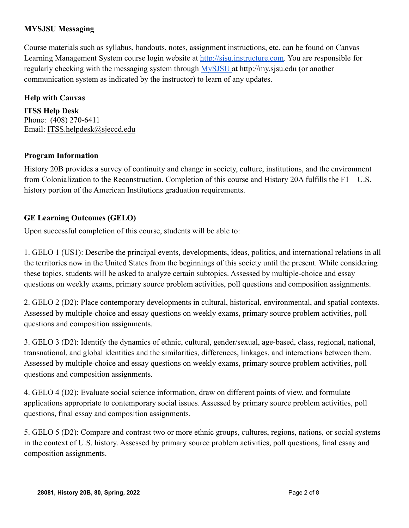## **MYSJSU Messaging**

Course materials such as syllabus, handouts, notes, assignment instructions, etc. can be found on Canvas Learning Management System course login website at [http://sjsu.instructure.com.](http://sjsu.instructure.com) You are responsible for regularly checking with the messaging system through [MySJSU](http://my.sjsu.edu) at http://my.sjsu.edu (or another communication system as indicated by the instructor) to learn of any updates.

## **Help with Canvas**

**ITSS Help Desk** Phone: (408) 270-6411 Email: [ITSS.helpdesk@sjeccd.edu](mailto:ITSS.helpdesk@sjeccd.edu)

#### **Program Information**

History 20B provides a survey of continuity and change in society, culture, institutions, and the environment from Colonialization to the Reconstruction. Completion of this course and History 20A fulfills the F1—U.S. history portion of the American Institutions graduation requirements.

# **GE Learning Outcomes (GELO)**

Upon successful completion of this course, students will be able to:

1. GELO 1 (US1): Describe the principal events, developments, ideas, politics, and international relations in all the territories now in the United States from the beginnings of this society until the present. While considering these topics, students will be asked to analyze certain subtopics. Assessed by multiple-choice and essay questions on weekly exams, primary source problem activities, poll questions and composition assignments.

2. GELO 2 (D2): Place contemporary developments in cultural, historical, environmental, and spatial contexts. Assessed by multiple-choice and essay questions on weekly exams, primary source problem activities, poll questions and composition assignments.

3. GELO 3 (D2): Identify the dynamics of ethnic, cultural, gender/sexual, age-based, class, regional, national, transnational, and global identities and the similarities, differences, linkages, and interactions between them. Assessed by multiple-choice and essay questions on weekly exams, primary source problem activities, poll questions and composition assignments.

4. GELO 4 (D2): Evaluate social science information, draw on different points of view, and formulate applications appropriate to contemporary social issues. Assessed by primary source problem activities, poll questions, final essay and composition assignments.

5. GELO 5 (D2): Compare and contrast two or more ethnic groups, cultures, regions, nations, or social systems in the context of U.S. history. Assessed by primary source problem activities, poll questions, final essay and composition assignments.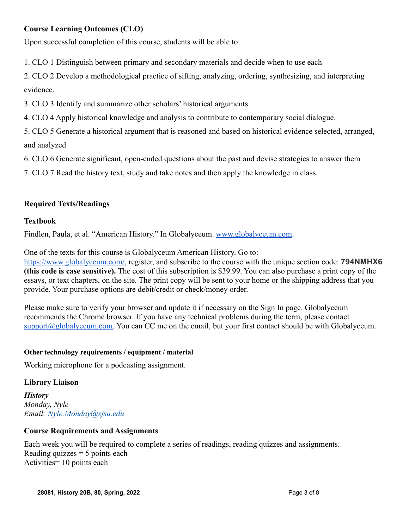# **Course Learning Outcomes (CLO)**

Upon successful completion of this course, students will be able to:

1. CLO 1 Distinguish between primary and secondary materials and decide when to use each

2. CLO 2 Develop a methodological practice of sifting, analyzing, ordering, synthesizing, and interpreting evidence.

3. CLO 3 Identify and summarize other scholars' historical arguments.

4. CLO 4 Apply historical knowledge and analysis to contribute to contemporary social dialogue.

5. CLO 5 Generate a historical argument that is reasoned and based on historical evidence selected, arranged, and analyzed

6. CLO 6 Generate significant, open-ended questions about the past and devise strategies to answer them

7. CLO 7 Read the history text, study and take notes and then apply the knowledge in class.

# **Required Texts/Readings**

#### **Textbook**

Findlen, Paula, et al. "American History." In Globalyceum. [www.globalyceum.com](http://www.globalyceum.com).

One of the texts for this course is Globalyceum American History. Go to:

[https://www.globalyceum.com/,](https://www.globalyceum.com/) register, and subscribe to the course with the unique section code: **794NMHX6 (this code is case sensitive).** The cost of this subscription is \$39.99. You can also purchase a print copy of the essays, or text chapters, on the site. The print copy will be sent to your home or the shipping address that you provide. Your purchase options are debit/credit or check/money order.

Please make sure to verify your browser and update it if necessary on the Sign In page. Globalyceum recommends the Chrome browser. If you have any technical problems during the term, please contact [support@globalyceum.com.](mailto:support@globalyceum.com) You can CC me on the email, but your first contact should be with Globalyceum.

#### **Other technology requirements / equipment / material**

Working microphone for a podcasting assignment.

#### **Library Liaison**

*History Monday, Nyle Email: Nyle.Monday@sjsu.edu*

#### **Course Requirements and Assignments**

Each week you will be required to complete a series of readings, reading quizzes and assignments. Reading quizzes  $= 5$  points each Activities= 10 points each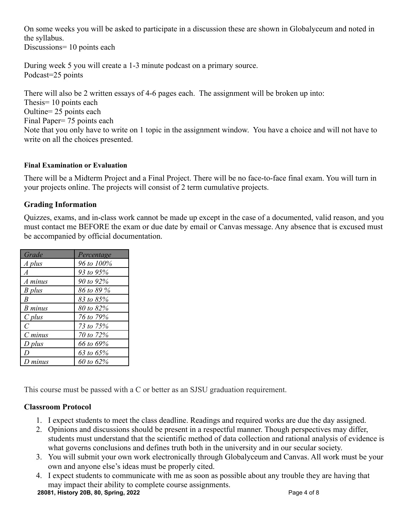On some weeks you will be asked to participate in a discussion these are shown in Globalyceum and noted in the syllabus.

Discussions= 10 points each

During week 5 you will create a 1-3 minute podcast on a primary source. Podcast=25 points

There will also be 2 written essays of 4-6 pages each. The assignment will be broken up into: Thesis= 10 points each Oultine= 25 points each Final Paper= 75 points each Note that you only have to write on 1 topic in the assignment window. You have a choice and will not have to write on all the choices presented.

#### **Final Examination or Evaluation**

There will be a Midterm Project and a Final Project. There will be no face-to-face final exam. You will turn in your projects online. The projects will consist of 2 term cumulative projects.

# **Grading Information**

Quizzes, exams, and in-class work cannot be made up except in the case of a documented, valid reason, and you must contact me BEFORE the exam or due date by email or Canvas message. Any absence that is excused must be accompanied by official documentation.

| Grade          | Percentage |
|----------------|------------|
| A plus         | 96 to 100% |
| $\overline{A}$ | 93 to 95%  |
| A minus        | 90 to 92%  |
| B plus         | 86 to 89 % |
| B              | 83 to 85%  |
| B minus        | 80 to 82%  |
| $C$ plus       | 76 to 79%  |
| C              | 73 to 75%  |
| $C$ minus      | 70 to 72%  |
| D plus         | 66 to 69%  |
| I)             | 63 to 65%  |
| D minus        | 60 to 62%  |

This course must be passed with a C or better as an SJSU graduation requirement.

# **Classroom Protocol**

- 1. I expect students to meet the class deadline. Readings and required works are due the day assigned.
- 2. Opinions and discussions should be present in a respectful manner. Though perspectives may differ, students must understand that the scientific method of data collection and rational analysis of evidence is what governs conclusions and defines truth both in the university and in our secular society.
- 3. You will submit your own work electronically through Globalyceum and Canvas. All work must be your own and anyone else's ideas must be properly cited.
- 4. I expect students to communicate with me as soon as possible about any trouble they are having that may impact their ability to complete course assignments.

**28081, History 20B, 80, Spring, 2022** Page 4 of 8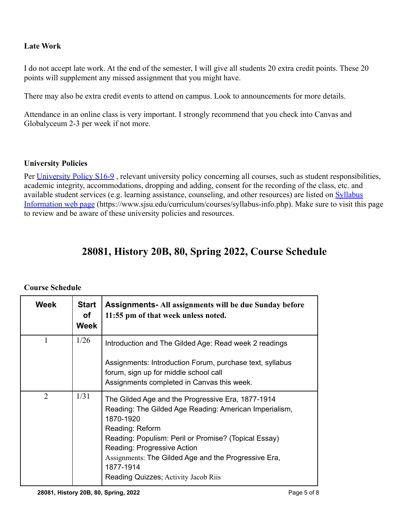# **Late Work**

I do not accept late work. At the end of the semester, I will give all students 20 extra credit points. These 20 points will supplement any missed assignment that you might have.

There may also be extra credit events to attend on campus. Look to announcements for more details.

Attendance in an online class is very important. I strongly recommend that you check into Canvas and Globalyceum 2-3 per week if not more.

#### **University Policies**

Per [University Policy S16-9](http://www.sjsu.edu/senate/docs/S16-9.pdf), relevant university policy concerning all courses, such as student responsibilities, academic integrity, accommodations, dropping and adding, consent for the recording of the class, etc. and available student services (e.g. learning assistance, counseling, and other resources) are listed on [Syllabus](https://www.sjsu.edu/curriculum/courses/syllabus-info.php) [Information web page](https://www.sjsu.edu/curriculum/courses/syllabus-info.php) (https://www.sjsu.edu/curriculum/courses/syllabus-info.php). Make sure to visit this page to review and be aware of these university policies and resources.

# **28081, History 20B, 80, Spring 2022, Course Schedule**

## **Course Schedule**

| Week | <b>Start</b><br>οf<br>Week | <b>Assignments-All assignments will be due Sunday before</b><br>11:55 pm of that week unless noted.                                                                                                                                                                                                                                             |
|------|----------------------------|-------------------------------------------------------------------------------------------------------------------------------------------------------------------------------------------------------------------------------------------------------------------------------------------------------------------------------------------------|
| 1    | 1/26                       | Introduction and The Gilded Age: Read week 2 readings<br>Assignments: Introduction Forum, purchase text, syllabus<br>forum, sign up for middle school call<br>Assignments completed in Canvas this week.                                                                                                                                        |
| 2    | 1/31                       | The Gilded Age and the Progressive Era, 1877-1914<br>Reading: The Gilded Age Reading: American Imperialism,<br>1870-1920<br>Reading: Reform<br>Reading: Populism: Peril or Promise? (Topical Essay)<br>Reading: Progressive Action<br>Assignments: The Gilded Age and the Progressive Era,<br>1877-1914<br>Reading Quizzes; Activity Jacob Riis |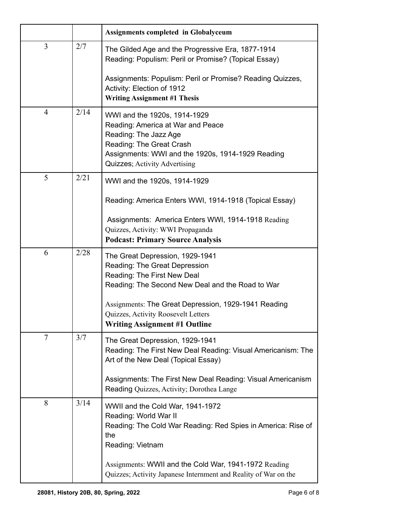|                |      | <b>Assignments completed in Globalyceum</b>                                                                                                                                                                  |
|----------------|------|--------------------------------------------------------------------------------------------------------------------------------------------------------------------------------------------------------------|
| 3              | 2/7  | The Gilded Age and the Progressive Era, 1877-1914<br>Reading: Populism: Peril or Promise? (Topical Essay)                                                                                                    |
|                |      | Assignments: Populism: Peril or Promise? Reading Quizzes,<br>Activity: Election of 1912<br><b>Writing Assignment #1 Thesis</b>                                                                               |
| $\overline{4}$ | 2/14 | WWI and the 1920s, 1914-1929<br>Reading: America at War and Peace<br>Reading: The Jazz Age<br>Reading: The Great Crash<br>Assignments: WWI and the 1920s, 1914-1929 Reading<br>Quizzes; Activity Advertising |
| 5              | 2/21 | WWI and the 1920s, 1914-1929                                                                                                                                                                                 |
|                |      | Reading: America Enters WWI, 1914-1918 (Topical Essay)                                                                                                                                                       |
|                |      | Assignments: America Enters WWI, 1914-1918 Reading<br>Quizzes, Activity: WWI Propaganda<br><b>Podcast: Primary Source Analysis</b>                                                                           |
| 6              | 2/28 | The Great Depression, 1929-1941<br>Reading: The Great Depression<br>Reading: The First New Deal<br>Reading: The Second New Deal and the Road to War                                                          |
|                |      | Assignments: The Great Depression, 1929-1941 Reading<br>Quizzes, Activity Roosevelt Letters<br><b>Writing Assignment #1 Outline</b>                                                                          |
| 7              | 3/7  | The Great Depression, 1929-1941<br>Reading: The First New Deal Reading: Visual Americanism: The<br>Art of the New Deal (Topical Essay)                                                                       |
|                |      | Assignments: The First New Deal Reading: Visual Americanism<br>Reading Quizzes, Activity; Dorothea Lange                                                                                                     |
| 8              | 3/14 | WWII and the Cold War, 1941-1972<br>Reading: World War II<br>Reading: The Cold War Reading: Red Spies in America: Rise of<br>the<br>Reading: Vietnam                                                         |
|                |      | Assignments: WWII and the Cold War, 1941-1972 Reading<br>Quizzes; Activity Japanese Internment and Reality of War on the                                                                                     |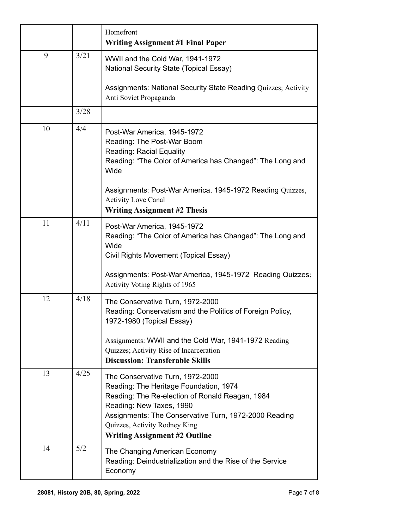|    |      | Homefront<br><b>Writing Assignment #1 Final Paper</b>                                                                                                                                                                                                                                       |
|----|------|---------------------------------------------------------------------------------------------------------------------------------------------------------------------------------------------------------------------------------------------------------------------------------------------|
| 9  | 3/21 | WWII and the Cold War, 1941-1972<br>National Security State (Topical Essay)                                                                                                                                                                                                                 |
|    |      | Assignments: National Security State Reading Quizzes; Activity<br>Anti Soviet Propaganda                                                                                                                                                                                                    |
|    | 3/28 |                                                                                                                                                                                                                                                                                             |
| 10 | 4/4  | Post-War America, 1945-1972<br>Reading: The Post-War Boom<br>Reading: Racial Equality<br>Reading: "The Color of America has Changed": The Long and<br>Wide                                                                                                                                  |
|    |      | Assignments: Post-War America, 1945-1972 Reading Quizzes,<br><b>Activity Love Canal</b><br><b>Writing Assignment #2 Thesis</b>                                                                                                                                                              |
| 11 | 4/11 | Post-War America, 1945-1972<br>Reading: "The Color of America has Changed": The Long and<br>Wide<br>Civil Rights Movement (Topical Essay)<br>Assignments: Post-War America, 1945-1972 Reading Quizzes;                                                                                      |
|    |      | Activity Voting Rights of 1965                                                                                                                                                                                                                                                              |
| 12 | 4/18 | The Conservative Turn, 1972-2000<br>Reading: Conservatism and the Politics of Foreign Policy,<br>1972-1980 (Topical Essay)                                                                                                                                                                  |
|    |      | Assignments: WWII and the Cold War, 1941-1972 Reading<br>Quizzes; Activity Rise of Incarceration<br><b>Discussion: Transferable Skills</b>                                                                                                                                                  |
| 13 | 4/25 | The Conservative Turn, 1972-2000<br>Reading: The Heritage Foundation, 1974<br>Reading: The Re-election of Ronald Reagan, 1984<br>Reading: New Taxes, 1990<br>Assignments: The Conservative Turn, 1972-2000 Reading<br>Quizzes, Activity Rodney King<br><b>Writing Assignment #2 Outline</b> |
| 14 | 5/2  | The Changing American Economy<br>Reading: Deindustrialization and the Rise of the Service<br>Economy                                                                                                                                                                                        |